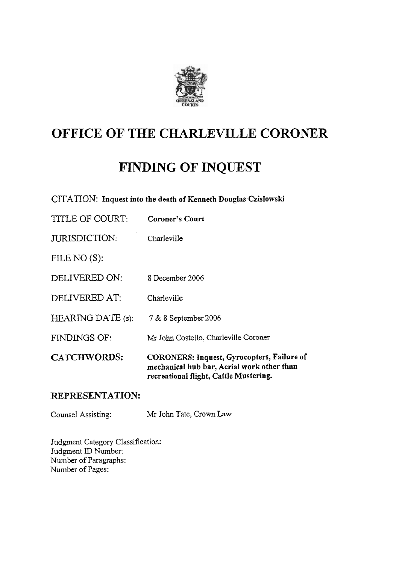

## **OFFICE OF THE CHARILEVILLE CORONER**

## **FINDING OF INQUEST**

CITATION: **Inquest into the death of Kenneth Douglas Czislowski** 

| CATCHWORDS:          | <b>CORONERS: Inquest, Gyrocopters, Failure of</b><br>mechanical hub bar, Aerial work other than<br>recreational flight, Cattle Mustering. |
|----------------------|-------------------------------------------------------------------------------------------------------------------------------------------|
| <b>FINDINGS OF:</b>  | Mr John Costello, Charleville Coroner                                                                                                     |
| HEARING DATE (s):    | 7 & 8 September 2006                                                                                                                      |
| DELIVERED AT:        | Charleville                                                                                                                               |
| DELIVERED ON:        | 8 December 2006                                                                                                                           |
| FILE NO $(S)$ :      |                                                                                                                                           |
| <b>JURISDICTION:</b> | Charleville                                                                                                                               |
| TITLE OF COURT:      | Coroner's Court                                                                                                                           |

## **REPRESENTATION:**

Counsel Assisting: Mr John Tate, Crown Law

Judgment Category Classification: Judgment ID Number: Number of Paragraphs: Number of Pages: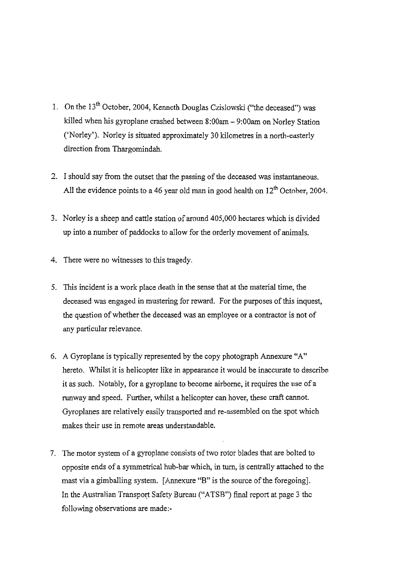- 1. On the 13<sup>th</sup> October, 2004, Kenneth Douglas Czislowski ("the deceased") was killed when his gyroplane crashed between 8:00am - 9:00am on Norley Station ('Norley'). Norley is situated approximately 30 kilometres in a north-easterly direction from Thargomindah.
- 2. I should say from the outset that the passing of the deceased was instantaneous. All the evidence points to a 46 year old man in good health on 12<sup>th</sup> October, 2004.
- 3. Norley is a sheep and cattle station of around 405,000 hectares which is divided up into a number of paddocks to allow for the orderly movement of animals.
- 4. There were no witnesses to this tragedy.
- 5. This incident is a work place death in the sense that at the material time, the deceased was engaged in mustering for reward. For the purposes of this inquest, the question of whether the deceased was an employee or a contractor is not of any particular relevance.
- 6. **A** Gyroplane is typically represented by the copy photograph Annexure "A" hereto. Whilst it is helicopter like in appearance it would be inaccurate to describe it as such. Notably, for a gyroplane to become airborne, it requires the use of a runway and speed. Further, whilst a helicopter can hover, these craft cannot. Gyroplanes are relatively easily transported and re-assembled on the spot which makes their use in remote areas understandable.
- 7. The motor system of a gyroplane.consists of two rotor blades that are bolted to opposite ends of a symmetrical hub-bar which, in turn, is centrally attached to the mast via a gimballing system. [Annexure "B" is the source of the foregoing]. In the Australian Transport Safety Bureau **("ATSR")** fina! report at page 3 thc following observations are made:-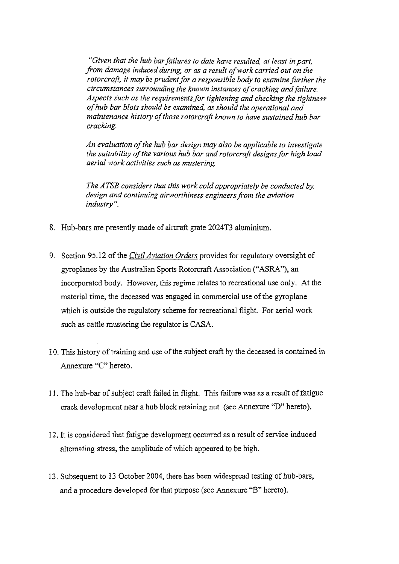*"Given that the hub bar failures to date have resulted at least in part, fiom damage induced during, or as a result of work carried out on the*  rotorcraft, it may be prudent for a responsible body to examine further the *circumstances surrounding the known instances of cracking and failure. Aspects such as the requirements for tightening and checking the tightness of hub bar blots should be examined, as should the operational and maintenance history of those rotorcraft known to have sustained hub bar cracking.* 

*An evaluation of the hub bar design may also be applicable to investigate the suitability of the various hub bar and rotorcraji designs for high load aerial work activities such as mustering.* 

*The ATSB considers that this work cold appropriately be conducted by. design and continuing airworthiness engineersfiom the aviation industry* ".

- 8. Hub-bars are presently made of aircraft grate 2024T3 aluminium.
- 9. Section 95.12 of the *Civil Aviation Orders* provides for regulatory oversight of gyroplanes by the Australian Sports Rotorcraft Association ("ASRA"), an incorporated body. However, this regime relates to recreational use only. At the material time, the deceased was engaged in commercial use of the gyroplane which is outside the regulatory scheme for recreational flight. For aerial work such as cattle mustering the regulator is CASA.
- 10. This history of training and use of the subject craft by the deceased is contained in Annexure "C" hereto.
- 1 1. The hub-bar of subject craft failed in flight. This failure was **as** a result of fatigue crack development near a hub block retaining nut (see Annexure "D" hereto).
- 12. It is considered that fatigue development occurred as a result of service induced alternating stress, the amplitude of which appeared to be high.
- 13. Subsequent to 13 October 2004, there has been widespread testing of hub-bars, and a procedure developed for that purpose (see Annexure "B" hereto).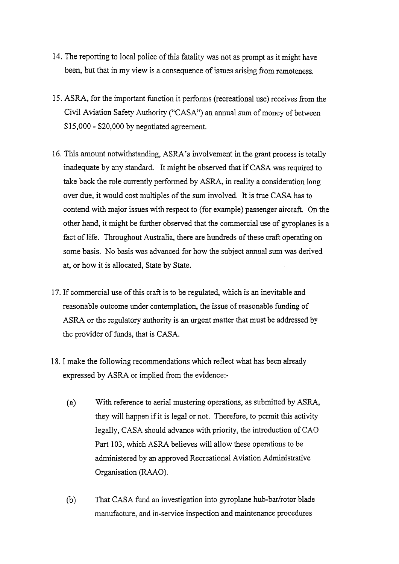- 14. The reporting to local police of this fatality was not as prompt as it might have been, but that in my view is a consequence of issues arising from remoteness.
- 15. ASRA, for the important function it performs (recreational use) receives from the Civil Aviation Safety Authority ("CASA") an annual sum of money of between \$15,000 - \$20,000 by negotiated agreement.
- 16. This amount notwithstanding, ASRA's involvement in the grant process is totally inadequate by any standard. It might be observed that if CASA was required to take back the role currently performed by ASRA, in reality a consideration long over due, it would cost multiples of the sum involved. It is true CASA has to contend with major issues with respect to (for example) passenger aircraft. On the other hand, it might be further observed that the commercial use of gyroplanes is a fact of life. Throughout Australia, there are hundreds of these craft operating on some basis. No basis was advanced for how the subject annual sum was derived at, or how it is allocated, State by State.
- 17. If commercial use of this craft is to be regulated, which is an inevitable and reasonable outcome under contemplation, the issue of reasonable fimding of ASRA or the regulatory authority is an urgent matter that must be addressed by the provider of funds, that is CASA.
- 18. I make the following recommendations which reflect what has been already expressed by ASRA or implied from the evidence:-
	- (a) With reference to aerial mustering operations, as submitted by ASRA, they will happen if it is legal or not. Therefore, to permit this activity legally, CASA should advance with priority, the introduction of CAO Part 103, which ASRA believes will allow these operations to be administered by an approved Recreational Aviation Administrative Organisation (RAAO).
	- (b) That CASA fund an investigation into gyroplane hub-bar/rotor blade manufacture, and in-service inspection and maintenance procedures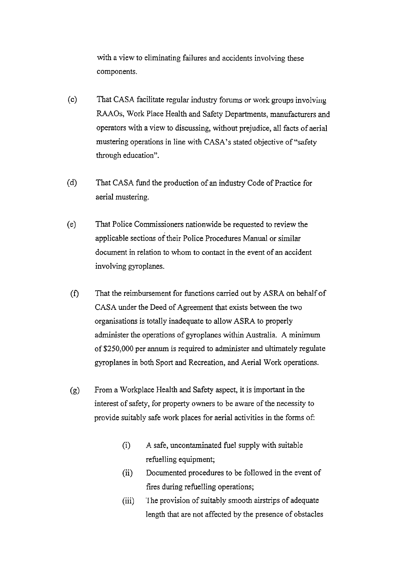with a view to eliminating failures and accidents involving these components.

- (c) That CASA facilitate regular industry forums or work groups involving **RAAOs,** Work Place Health and Safety Departments, manufacturers and operators with a view to discussing, without prejudice, all facts of aerial mustering operations in line with CASA's stated objective of "safety through education".
- (d) That CASA fund the production of an industry Code of Practice for aerial mustering.
- (el That Police Commissioners nationwide be requested to review the applicable sections of their Police Procedures Manual or similar document in relation to whom to contact in the event of an accident involving gyroplanes.
- (f) That the reimbursement for functions carried out by ASRA on behalf of CASA under the Deed of Agreement that exists between the two organisations is totally inadequate to allow ASRA to properly administer the operations of gyroplanes within Australia. A minimum of \$250,000 per annum is required to administer and ultimately regulate gyroplanes in both Sport and Recreation, and Aerial Work operations.
- (g) From a Workplace Health and Safety aspect, it is important in the interest of safety, for property owners to be aware of the necessity to provide suitably safe work places for aerial activities in the forms of:
	- (i) A safe, uncontaminated fuel supply with suitable refuelling equipment;
	- (ii) Documented procedures to be followed in the event of fires during refuelling operations;
	- (iii) The provision of suitably smooth airstrips of adequate length that are not affected by the presence of obstacles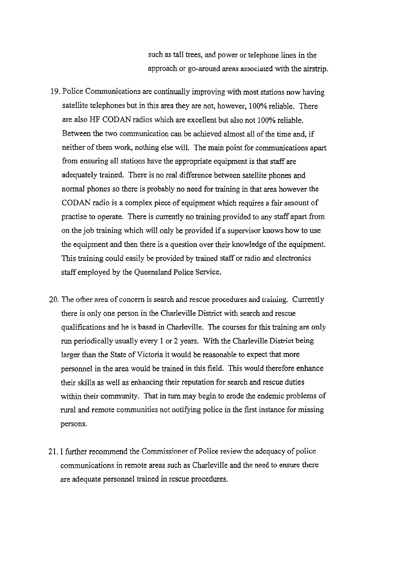such as tall trees, and power or telephone lines in the approach or go-around areas associated with the airstrip.

- 19. Police Communications are continually improving with most stations now having satellite telephones but in this area they are not, however, 100% reliable. There are also HF CODAN radios which are excellent but also not 100% reliable. Between the two communication can be achieved almost all of the time and, if neither of them work, nothing else will. The main point for communications apart from ensuring all stations have the appropriate equipment is that staff are adequately trained. There is no real difference between satellite phones and normal phones so there is probably no need for training in that area however the CODAN radio is a complex piece of equipment which requires a fair amount of practise to operate. There is currently no training provided to any staff apart from on the job training which will only be provided if a supervisor knows how to use the equipment and then there is a question over their knowledge of the equipment. This training could easily be provided by trained **staff** or radio and electronics staff employed by the Queensland Police Service.
- 20. The other area of concern is search and rescue procedures and training. Currently there is only one person in the Charleville District with search and rescue qualifications and he is based in Charleville. The courses for this training are only **run** periodically usually every 1 or 2 years. With the Charleville District being larger than the State of Victoria it would be reasonable to expect that more personnel in the area would be trained in this field. This would therefore enhance their skills as well as enhancing their reputation for search and rescue duties within their community. That in turn may begin to erode the endemic problems of rural and remote communities not notifying police in the first instance for missing persons.
- 21. I further recommend the Commissioner of Police review the adequacy of police communications in remote areas such as Charleville and the need to ensure there are adequate personnel trained in rescue procedures.